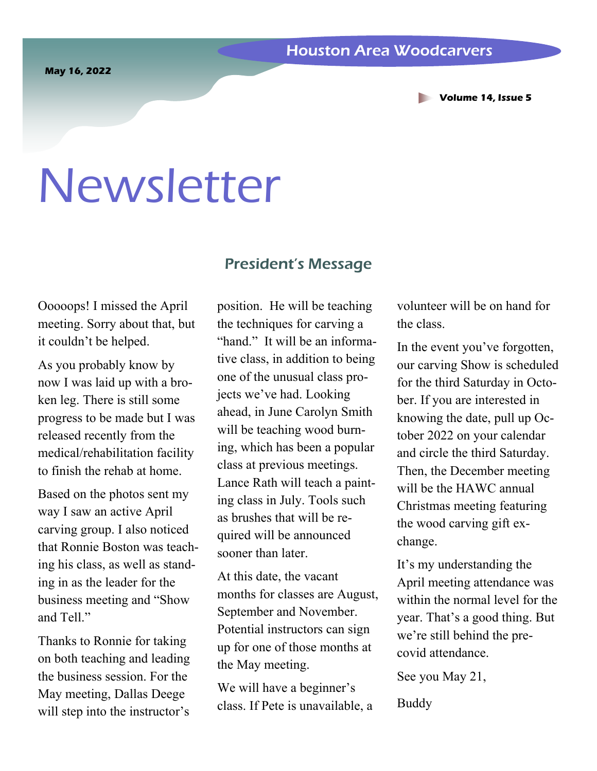#### **Volume 14, Issue 5**

# Newsletter

#### President's Message

Ooooops! I missed the April meeting. Sorry about that, but it couldn't be helped.

As you probably know by now I was laid up with a broken leg. There is still some progress to be made but I was released recently from the medical/rehabilitation facility to finish the rehab at home.

Based on the photos sent my way I saw an active April carving group. I also noticed that Ronnie Boston was teaching his class, as well as standing in as the leader for the business meeting and "Show and Tell<sup>"</sup>

Thanks to Ronnie for taking on both teaching and leading the business session. For the May meeting, Dallas Deege will step into the instructor's

position. He will be teaching the techniques for carving a "hand." It will be an informative class, in addition to being one of the unusual class projects we've had. Looking ahead, in June Carolyn Smith will be teaching wood burning, which has been a popular class at previous meetings. Lance Rath will teach a painting class in July. Tools such as brushes that will be required will be announced sooner than later.

At this date, the vacant months for classes are August, September and November. Potential instructors can sign up for one of those months at the May meeting.

We will have a beginner's class. If Pete is unavailable, a volunteer will be on hand for the class.

In the event you've forgotten, our carving Show is scheduled for the third Saturday in October. If you are interested in knowing the date, pull up October 2022 on your calendar and circle the third Saturday. Then, the December meeting will be the HAWC annual Christmas meeting featuring the wood carving gift exchange.

It's my understanding the April meeting attendance was within the normal level for the year. That's a good thing. But we're still behind the precovid attendance.

See you May 21,

Buddy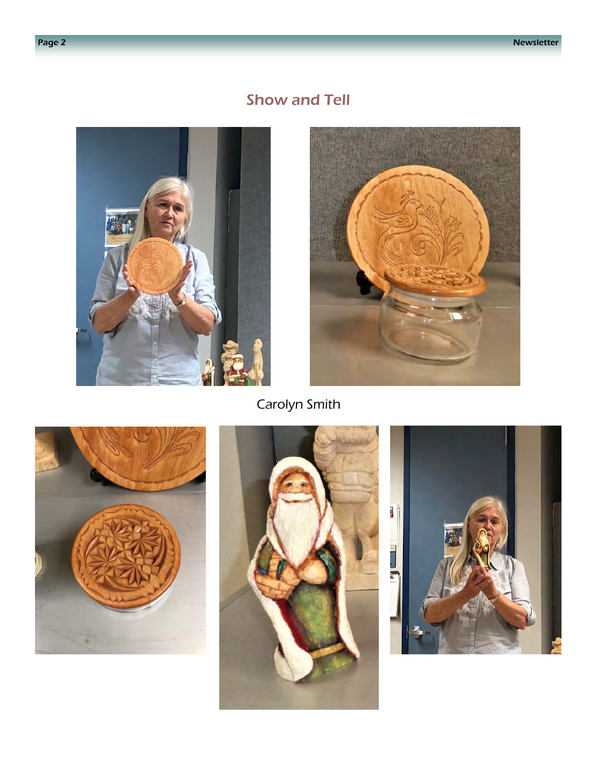



Carolyn Smith





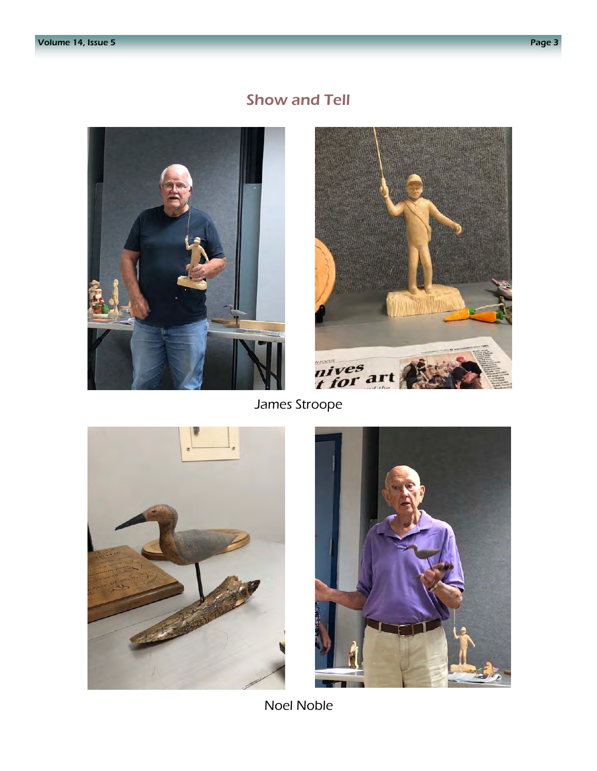



James Stroope





Noel Noble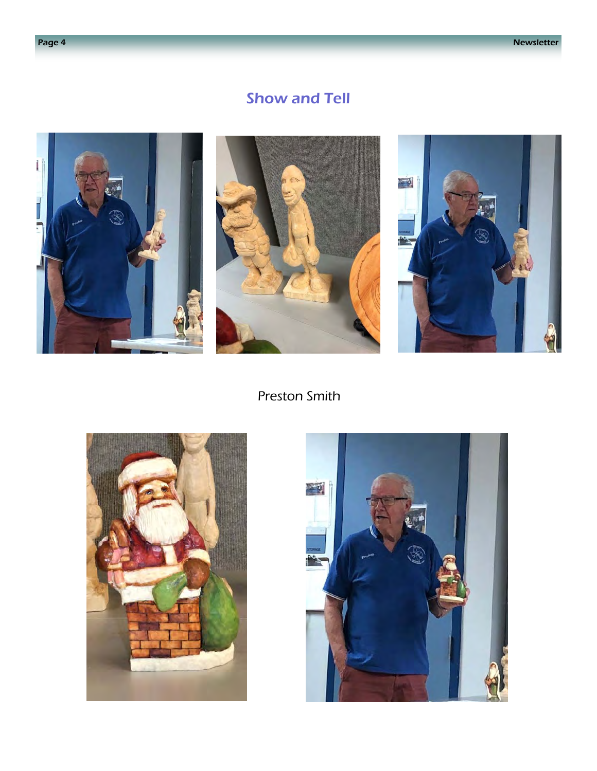

#### Preston Smith



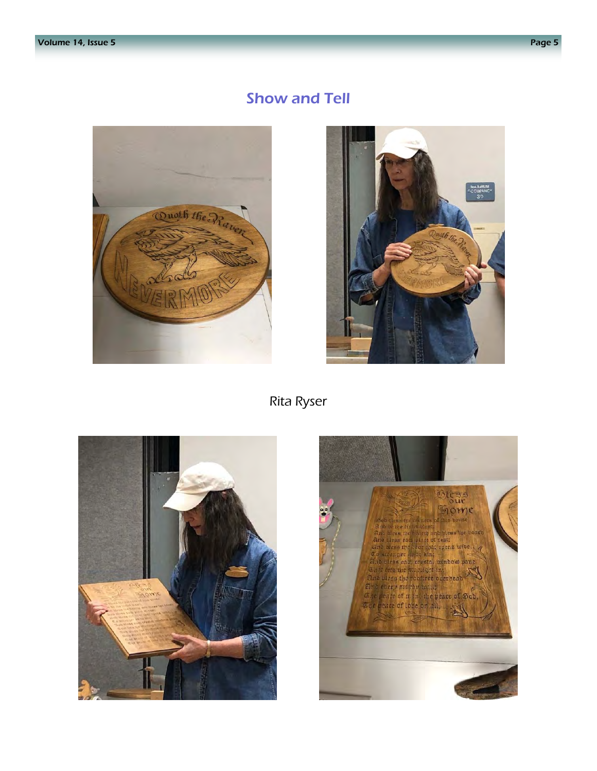



Rita Ryser



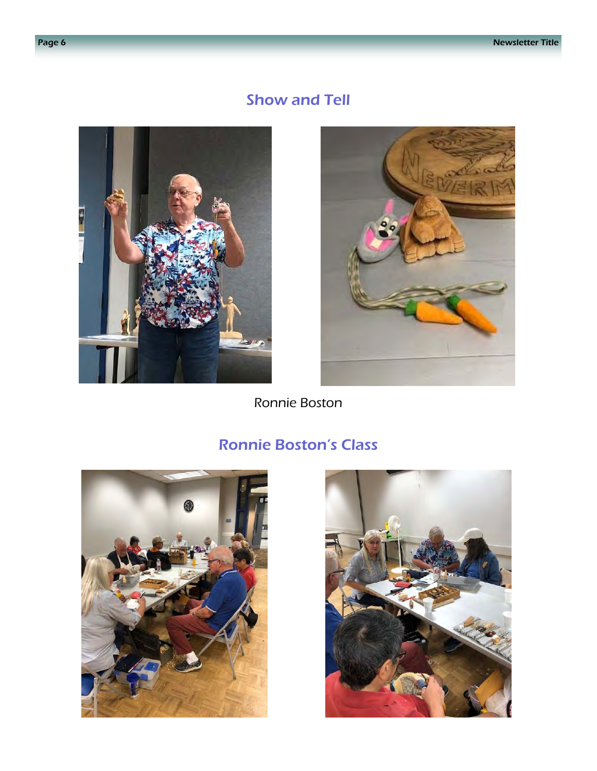



Ronnie Boston

## Ronnie Boston's Class



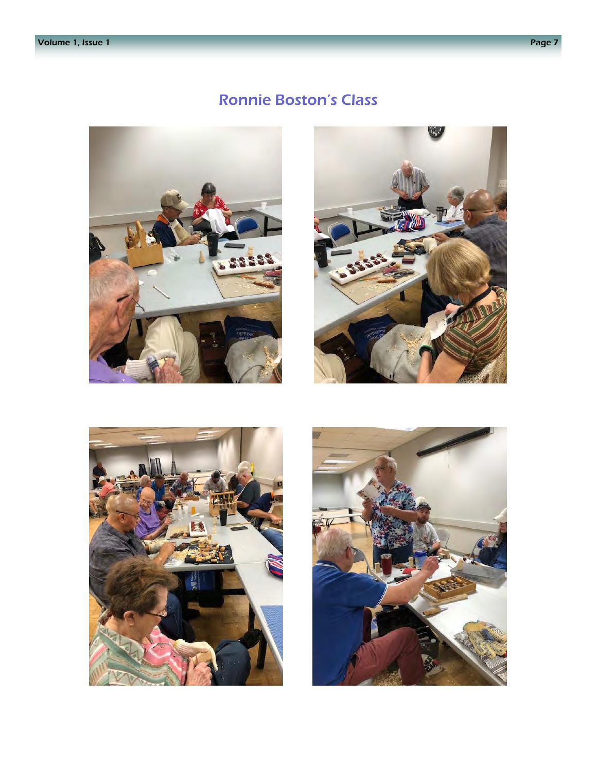#### Ronnie Boston's Class